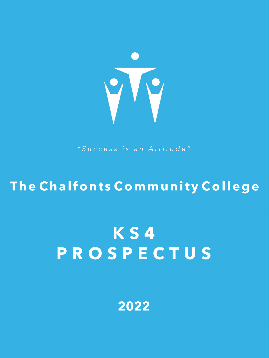

*"Success is an Attitude"*

## **The Chalfonts Community College**

# **K S 4 P R O S P E C T U S**

**2022**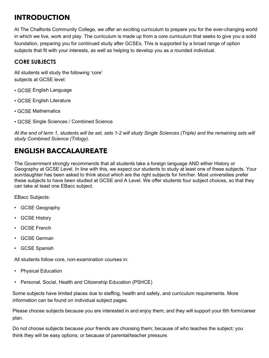### **INTRODUCTION**

At The Chalfonts Community College, we offer an exciting curriculum to prepare you for the ever-changing world in which we live, work and play. The curriculum is made up from a core curriculum that seeks to give you a solid foundation, preparing you for continued study after GCSEs. This is supported by a broad range of option subjects that fit with your interests, as well as helping to develop you as a rounded individual.

#### **CORE SUBJECTS**

All students will study the following 'core' subjects at GCSE level:

- GCSE English Language
- GCSE English Literature
- GCSE Mathematics
- GCSE Single Sciences / Combined Science

*At the end of term 1, students will be set, sets 1-2 will study Single Sciences (Triple) and the remaining sets will study Combined Science (Trilogy).* 

### **ENGLISH BACCALAUREATE**

The Government strongly recommends that all students take a foreign language AND either History or Geography at GCSE Level. In line with this, we expect our students to study at least one of these subjects. Your son/daughter has been asked to think about which are the right subjects for him/her. Most universities prefer these subjects to have been studied at GCSE and A Level. We offer students four subject choices, so that they can take at least one EBacc subject.

EBacc Subjects:

- GCSE Geography
- GCSE History
- GCSE French
- GCSE German
- GCSE Spanish

All students follow core, non-examination courses in:

- Physical Education
- Personal, Social, Health and Citizenship Education (PSHCE)

Some subjects have limited places due to staffing, health and safety, and curriculum requirements. More information can be found on individual subject pages.

Please choose subjects because you are interested in and enjoy them; and they will support your 6th form/career plan.

Do not choose subjects because your friends are choosing them; because of who teaches the subject; you think they will be easy options; or because of parental/teacher pressure.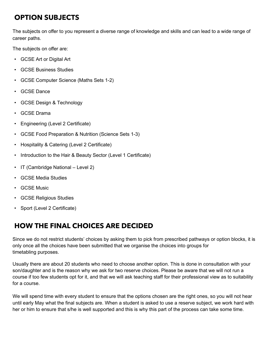### **OPTION SUBJECTS**

The subjects on offer to you represent a diverse range of knowledge and skills and can lead to a wide range of career paths.

The subjects on offer are:

- GCSE Art or Digital Art
- GCSE Business Studies
- GCSE Computer Science (Maths Sets 1-2)
- **GCSE Dance**
- GCSE Design & Technology
- GCSE Drama
- Engineering (Level 2 Certificate)
- GCSE Food Preparation & Nutrition (Science Sets 1-3)
- Hospitality & Catering (Level 2 Certificate)
- Introduction to the Hair & Beauty Sector (Level 1 Certificate)
- IT (Cambridge National Level 2)
- GCSE Media Studies
- **GCSE Music**
- GCSE Religious Studies
- Sport (Level 2 Certificate)

### **HOW THE FINAL CHOICES ARE DECIDED**

Since we do not restrict students' choices by asking them to pick from prescribed pathways or option blocks, it is only once all the choices have been submitted that we organise the choices into groups for timetabling purposes.

Usually there are about 20 students who need to choose another option. This is done in consultation with your son/daughter and is the reason why we ask for two reserve choices. Please be aware that we will not run a course if too few students opt for it, and that we will ask teaching staff for their professional view as to suitability for a course.

We will spend time with every student to ensure that the options chosen are the right ones, so you will not hear until early May what the final subjects are. When a student is asked to use a reserve subject, we work hard with her or him to ensure that s/he is well supported and this is why this part of the process can take some time.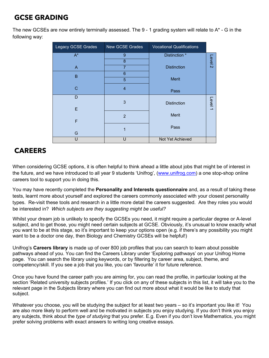### **GCSE GRADING**

The new GCSEs are now entirely terminally assessed. The 9 - 1 grading system will relate to A\* - G in the following way:

| <b>Legacy GCSE Grades</b> | <b>New GCSE Grades</b> | <b>Vocational Qualifications</b> |                    |
|---------------------------|------------------------|----------------------------------|--------------------|
| $A^*$                     | 9                      | Distinction *                    |                    |
|                           | 8                      |                                  | Level <sub>2</sub> |
| $\mathsf{A}$              | $\overline{7}$         | <b>Distinction</b>               |                    |
| B                         | 6                      |                                  |                    |
|                           | 5                      | <b>Merit</b>                     |                    |
| $\mathsf{C}$              | $\overline{4}$         | Pass                             |                    |
| D                         |                        |                                  |                    |
|                           | 3                      | <b>Distinction</b>               | Level 1            |
| E                         |                        |                                  |                    |
| F                         | $\overline{2}$         | <b>Merit</b>                     |                    |
|                           |                        | Pass                             |                    |
| G                         | 1                      |                                  |                    |
| U                         | U                      | <b>Not Yet Achieved</b>          |                    |

### **CAREERS**

When considering GCSE options, it is often helpful to think ahead a little about jobs that might be of interest in the future, and we have introduced to all year 9 students 'Unifrog', [\(www.unifrog.com\)](http://www.unifrog.com/) a one stop-shop online careers tool to support you in doing this.

You may have recently completed the **Personality and Interests questionnaire** and, as a result of taking these tests, learnt more about yourself and explored the careers commonly associated with your closest personality types. Re-visit these tools and research in a little more detail the careers suggested. Are they roles you would be interested in? *Which subjects are they suggesting might be useful?*

Whilst your dream job is unlikely to specify the GCSEs you need, it might require a particular degree or A-level subject, and to get those, you might need certain subjects at GCSE. Obviously, it's unusual to know exactly what you want to be at this stage, so it's important to keep your options open (e.g. if there's any possibility you might want to be a doctor one day, then Biology and Chemistry GCSEs will be helpful!)

Unifrog's **Careers library** is made up of over 800 job profiles that you can search to learn about possible pathways ahead of you. You can find the Careers Library under 'Exploring pathways' on your Unifrog Home page. You can search the library using keywords, or by filtering by career area, subject, theme, and competency/skill. If you see a job that you like, you can 'favourite' it for future reference.

Once you have found the career path you are aiming for, you can read the profile, in particular looking at the section 'Related university subjects profiles.' If you click on any of these subjects in this list, it will take you to the relevant page in the Subjects library where you can find out more about what it would be like to study that subject.

Whatever you choose, you will be studying the subject for at least two years – so it's important you like it! You are also more likely to perform well and be motivated in subjects you enjoy studying. If you don't think you enjoy any subjects, think about the *type of studying* that you prefer. E.g. Even if you don't love Mathematics, you might prefer solving problems with exact answers to writing long creative essays.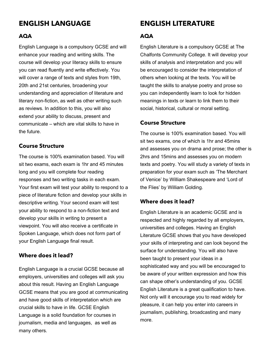### **ENGLISH LANGUAGE**

#### **AQA**

English Language is a compulsory GCSE and will enhance your reading and writing skills. The course will develop your literacy skills to ensure you can read fluently and write effectively. You will cover a range of texts and styles from 19th, 20th and 21st centuries, broadening your understanding and appreciation of literature and literary non-fiction, as well as other writing such as reviews. In addition to this, you will also extend your ability to discuss, present and communicate – which are vital skills to have in the future.

#### **Course Structure**

The course is 100% examination based. You will sit two exams, each exam is 1hr and 45 minutes long and you will complete four reading responses and two writing tasks in each exam. Your first exam will test your ability to respond to a piece of literature fiction and develop your skills in descriptive writing. Your second exam will test your ability to respond to a non-fiction text and develop your skills in writing to present a viewpoint. You will also receive a certificate in Spoken Language, which does not form part of your English Language final result.

#### **Where does it lead?**

English Language is a crucial GCSE because all employers, universities and colleges will ask you about this result. Having an English Language GCSE means that you are good at communicating and have good skills of interpretation which are crucial skills to have in life. GCSE English Language is a solid foundation for courses in journalism, media and languages, as well as many others.

### **ENGLISH LITERATURE**

#### **AQA**

English Literature is a compulsory GCSE at The Chalfonts Community College. It will develop your skills of analysis and interpretation and you will be encouraged to consider the interpretation of others when looking at the texts. You will be taught the skills to analyse poetry and prose so you can independently learn to look for hidden meanings in texts or learn to link them to their social, historical, cultural or moral setting.

#### **Course Structure**

The course is 100% examination based. You will sit two exams, one of which is 1hr and 45mins and assesses you on drama and prose; the other is 2hrs and 15mins and assesses you on modern texts and poetry. You will study a variety of texts in preparation for your exam such as 'The Merchant of Venice' by William Shakespeare and 'Lord of the Flies' by William Golding.

#### **Where does it lead?**

English Literature is an academic GCSE and is respected and highly regarded by all employers, universities and colleges. Having an English Literature GCSE shows that you have developed your skills of interpreting and can look beyond the surface for understanding. You will also have been taught to present your ideas in a sophisticated way and you will be encouraged to be aware of your written expression and how this can shape other's understanding of you. GCSE English Literature is a great qualification to have. Not only will it encourage you to read widely for pleasure, it can help you enter into careers in journalism, publishing, broadcasting and many more.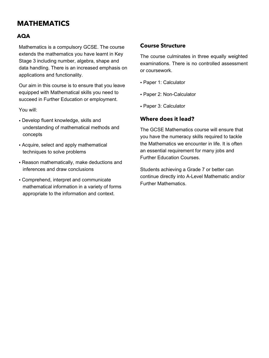### **MATHEMATICS**

#### **AQA**

Mathematics is a compulsory GCSE. The course extends the mathematics you have learnt in Key Stage 3 including number, algebra, shape and data handling. There is an increased emphasis on applications and functionality.

Our aim in this course is to ensure that you leave equipped with Mathematical skills you need to succeed in Further Education or employment.

You will:

- Develop fluent knowledge, skills and understanding of mathematical methods and concepts
- Acquire, select and apply mathematical techniques to solve problems
- Reason mathematically, make deductions and inferences and draw conclusions
- Comprehend, interpret and communicate mathematical information in a variety of forms appropriate to the information and context.

#### **Course Structure**

The course culminates in three equally weighted examinations. There is no controlled assessment or coursework.

- Paper 1: Calculator
- Paper 2: Non-Calculator
- Paper 3: Calculator

#### **Where does it lead?**

The GCSE Mathematics course will ensure that you have the numeracy skills required to tackle the Mathematics we encounter in life. It is often an essential requirement for many jobs and Further Education Courses.

Students achieving a Grade 7 or better can continue directly into A-Level Mathematic and/or Further Mathematics.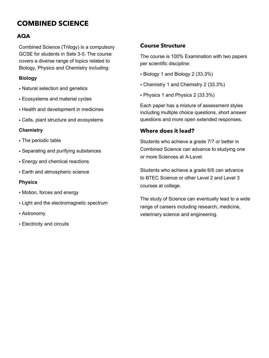### **COMBINED SCIENCE**

#### **AQA**

Combined Science (Trilogy) is a compulsory GCSE for students in Sets 3-5. The course covers a diverse range of topics related to Biology, Physics and Chemistry including:

#### **Biology**

- Natural selection and genetics
- Ecosystems and material cycles
- Health and development in medicines
- Cells, plant structure and ecosystems

#### **Chemistry**

- The periodic table
- Separating and purifying substances
- Energy and chemical reactions
- Earth and atmospheric science

#### **Physics**

- Motion, forces and energy
- Light and the electromagnetic spectrum
- Astronomy
- Electricity and circuits

#### **Course Structure**

The course is 100% Examination with two papers per scientific discipline:

- Biology 1 and Biology 2 (33.3%)
- Chemistry 1 and Chemistry 2 (33.3%)
- Physics 1 and Physics 2 (33.3%)

Each paper has a mixture of assessment styles including multiple choice questions, short answer questions and more open extended responses.

#### **Where does it lead?**

Students who achieve a grade 7/7 or better in Combined Science can advance to studying one or more Sciences at A-Level.

Students who achieve a grade 6/6 can advance to BTEC Science or other Level 2 and Level 3 courses at college.

The study of Science can eventually lead to a wide range of careers including research, medicine, veterinary science and engineering.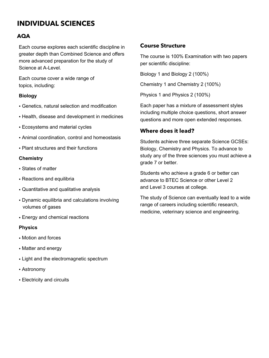### **INDIVIDUAL SCIENCES**

#### **AQA**

Each course explores each scientific discipline in greater depth than Combined Science and offers more advanced preparation for the study of Science at A-Level.

Each course cover a wide range of topics, including:

#### **Biology**

- Genetics, natural selection and modification
- Health, disease and development in medicines
- Ecosystems and material cycles
- Animal coordination, control and homeostasis
- Plant structures and their functions

#### **Chemistry**

- States of matter
- Reactions and equilibria
- Quantitative and qualitative analysis
- Dynamic equilibria and calculations involving volumes of gases
- Energy and chemical reactions

#### **Physics**

- Motion and forces
- Matter and energy
- Light and the electromagnetic spectrum
- Astronomy
- Electricity and circuits

#### **Course Structure**

The course is 100% Examination with two papers per scientific discipline:

Biology 1 and Biology 2 (100%)

Chemistry 1 and Chemistry 2 (100%)

Physics 1 and Physics 2 (100%)

Each paper has a mixture of assessment styles including multiple choice questions, short answer questions and more open extended responses.

#### **Where does it lead?**

Students achieve three separate Science GCSEs: Biology, Chemistry and Physics. To advance to study any of the three sciences you must achieve a grade 7 or better.

Students who achieve a grade 6 or better can advance to BTEC Science or other Level 2 and Level 3 courses at college.

The study of Science can eventually lead to a wide range of careers including scientific research, medicine, veterinary science and engineering.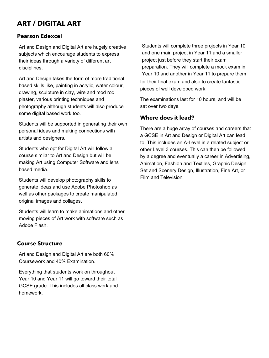### **ART / DIGITAL ART**

#### **Pearson Edexcel**

Art and Design and Digital Art are hugely creative subjects which encourage students to express their ideas through a variety of different art disciplines.

Art and Design takes the form of more traditional based skills like, painting in acrylic, water colour, drawing, sculpture in clay, wire and mod roc plaster, various printing techniques and photography although students will also produce some digital based work too.

Students will be supported in generating their own personal ideas and making connections with artists and designers.

Students who opt for Digital Art will follow a course similar to Art and Design but will be making Art using Computer Software and lens based media.

Students will develop photography skills to generate ideas and use Adobe Photoshop as well as other packages to create manipulated original images and collages.

Students will learn to make animations and other moving pieces of Art work with software such as Adobe Flash.

#### **Course Structure**

Art and Design and Digital Art are both 60% Coursework and 40% Examination.

Everything that students work on throughout Year 10 and Year 11 will go toward their total GCSE grade. This includes all class work and homework.

Students will complete three projects in Year 10 and one main project in Year 11 and a smaller project just before they start their exam preparation. They will complete a mock exam in Year 10 and another in Year 11 to prepare them for their final exam and also to create fantastic pieces of well developed work.

The examinations last for 10 hours, and will be sat over two days.

#### **Where does it lead?**

There are a huge array of courses and careers that a GCSE in Art and Design or Digital Art can lead to. This includes an A-Level in a related subject or other Level 3 courses. This can then be followed by a degree and eventually a career in Advertising, Animation, Fashion and Textiles, Graphic Design, Set and Scenery Design, Illustration, Fine Art, or Film and Television.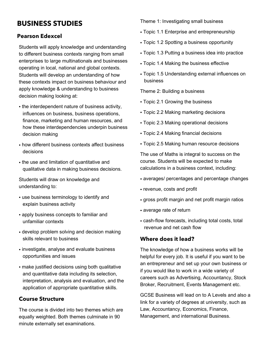### **BUSINESS STUDIES**

#### **Pearson Edexcel**

Students will apply knowledge and understanding to different business contexts ranging from small enterprises to large multinationals and businesses operating in local, national and global contexts. Students will develop an understanding of how these contexts impact on business behaviour and apply knowledge & understanding to business decision making looking at:

- the interdependent nature of business activity, influences on business, business operations, finance, marketing and human resources, and how these interdependencies underpin business decision making
- how different business contexts affect business decisions
- the use and limitation of quantitative and qualitative data in making business decisions.

Students will draw on knowledge and understanding to:

- use business terminology to identify and explain business activity
- apply business concepts to familiar and unfamiliar contexts
- develop problem solving and decision making skills relevant to business
- investigate, analyse and evaluate business opportunities and issues
- make justified decisions using both qualitative and quantitative data including its selection, interpretation, analysis and evaluation, and the application of appropriate quantitative skills.

#### **Course Structure**

The course is divided into two themes which are equally weighted. Both themes culminate in 90 minute externally set examinations.

Theme 1: Investigating small business

- Topic 1.1 Enterprise and entrepreneurship
- Topic 1.2 Spotting a business opportunity
- Topic 1.3 Putting a business idea into practice
- Topic 1.4 Making the business effective
- Topic 1.5 Understanding external influences on business

Theme 2: Building a business

- Topic 2.1 Growing the business
- Topic 2.2 Making marketing decisions
- Topic 2.3 Making operational decisions
- Topic 2.4 Making financial decisions
- Topic 2.5 Making human resource decisions

The use of Maths is integral to success on the course. Students will be expected to make calculations in a business context, including:

- averages/ percentages and percentage changes
- revenue, costs and profit
- gross profit margin and net profit margin ratios
- average rate of return
- cash-flow forecasts, including total costs, total revenue and net cash flow

#### **Where does it lead?**

The knowledge of how a business works will be helpful for every job. It is useful if you want to be an entrepreneur and set up your own business or if you would like to work in a wide variety of careers such as Advertising, Accountancy, Stock Broker, Recruitment, Events Management etc.

GCSE Business will lead on to A Levels and also a link for a variety of degrees at university, such as Law, Accountancy, Economics, Finance, Management, and international Business.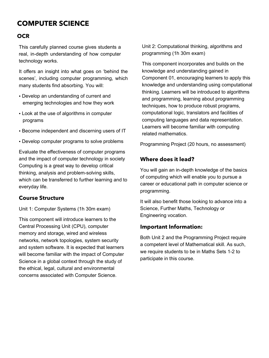### **COMPUTER SCIENCE**

#### **OCR**

This carefully planned course gives students a real, in-depth understanding of how computer technology works.

It offers an insight into what goes on 'behind the scenes', including computer programming, which many students find absorbing. You will:

- Develop an understanding of current and emerging technologies and how they work
- Look at the use of algorithms in computer programs
- Become independent and discerning users of IT
- Develop computer programs to solve problems

Evaluate the effectiveness of computer programs and the impact of computer technology in society Computing is a great way to develop critical thinking, analysis and problem-solving skills, which can be transferred to further learning and to everyday life.

#### **Course Structure**

Unit 1: Computer Systems (1h 30m exam)

This component will introduce learners to the Central Processing Unit (CPU), computer memory and storage, wired and wireless networks, network topologies, system security and system software. It is expected that learners will become familiar with the impact of Computer Science in a global context through the study of the ethical, legal, cultural and environmental concerns associated with Computer Science.

Unit 2: Computational thinking, algorithms and programming (1h 30m exam)

This component incorporates and builds on the knowledge and understanding gained in Component 01, encouraging learners to apply this knowledge and understanding using computational thinking. Learners will be introduced to algorithms and programming, learning about programming techniques, how to produce robust programs, computational logic, translators and facilities of computing languages and data representation. Learners will become familiar with computing related mathematics.

Programming Project (20 hours, no assessment)

#### **Where does it lead?**

You will gain an in-depth knowledge of the basics of computing which will enable you to pursue a career or educational path in computer science or programming.

It will also benefit those looking to advance into a Science, Further Maths, Technology or Engineering vocation.

#### **Important Information:**

Both Unit 2 and the Programming Project require a competent level of Mathematical skill. As such, we require students to be in Maths Sets 1-2 to participate in this course.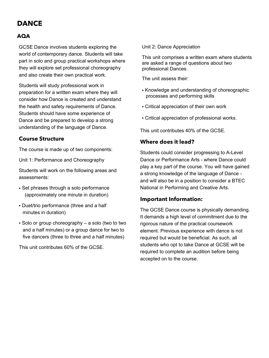### **DANCE**

#### **AQA**

GCSE Dance involves students exploring the world of contemporary dance. Students will take part in solo and group practical workshops where they will explore set professional choreography and also create their own practical work.

Students will study professional work in preparation for a written exam where they will consider how Dance is created and understand the health and safety requirements of Dance. Students should have some experience of Dance and be prepared to develop a strong understanding of the language of Dance.

#### **Course Structure**

The course is made up of two components:

Unit 1: Performance and Choreography

Students will work on the following areas and assessments:

- Set phrases through a solo performance (approximately one minute in duration)
- Duet/trio performance (three and a half minutes in duration)
- Solo or group choreography a solo (two to two and a half minutes) or a group dance for two to five dancers (three to three and a half minutes)

This unit contributes 60% of the GCSE.

Unit 2: Dance Appreciation

This unit comprises a written exam where students are asked a range of questions about two professional Dances.

The unit assess their:

- Knowledge and understanding of choreographic processes and performing skills
- Critical appreciation of their own work
- Critical appreciation of professional works.

This unit contributes 40% of the GCSE.

#### **Where does it lead?**

Students could consider progressing to A-Level Dance or Performance Arts - where Dance could play a key part of the course. You will have gained a strong knowledge of the language of Dance and will also be in a position to consider a BTEC National in Performing and Creative Arts.

#### **Important Information:**

The GCSE Dance course is physically demanding. It demands a high level of commitment due to the rigorous nature of the practical coursework element. Previous experience with dance is not required but would be beneficial. As such, all students who opt to take Dance at GCSE will be required to complete an audition before being accepted on to the course.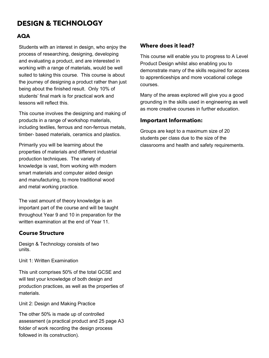### **DESIGN & TECHNOLOGY**

#### **AQA**

Students with an interest in design, who enjoy the process of researching, designing, developing and evaluating a product, and are interested in working with a range of materials, would be well suited to taking this course. This course is about the journey of designing a product rather than just being about the finished result. Only 10% of students' final mark is for practical work and lessons will reflect this.

This course involves the designing and making of products in a range of workshop materials, including textiles, ferrous and non-ferrous metals, timber- based materials, ceramics and plastics.

Primarily you will be learning about the properties of materials and different industrial production techniques. The variety of knowledge is vast, from working with modern smart materials and computer aided design and manufacturing, to more traditional wood and metal working practice.

The vast amount of theory knowledge is an important part of the course and will be taught throughout Year 9 and 10 in preparation for the written examination at the end of Year 11.

#### **Course Structure**

Design & Technology consists of two units.

Unit 1: Written Examination

This unit comprises 50% of the total GCSE and will test your knowledge of both design and production practices, as well as the properties of materials.

Unit 2: Design and Making Practice

The other 50% is made up of controlled assessment (a practical product and 25 page A3 folder of work recording the design process followed in its construction).

#### **Where does it lead?**

This course will enable you to progress to A Level Product Design whilst also enabling you to demonstrate many of the skills required for access to apprenticeships and more vocational college courses.

Many of the areas explored will give you a good grounding in the skills used in engineering as well as more creative courses in further education.

#### **Important Information:**

Groups are kept to a maximum size of 20 students per class due to the size of the classrooms and health and safety requirements.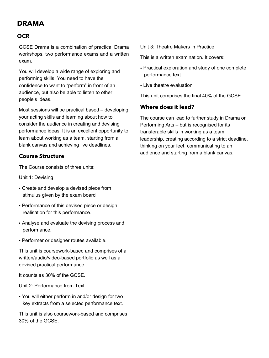### **DRAMA**

#### **OCR**

GCSE Drama is a combination of practical Drama workshops, two performance exams and a written exam.

You will develop a wide range of exploring and performing skills. You need to have the confidence to want to "perform" in front of an audience, but also be able to listen to other people's ideas.

Most sessions will be practical based – developing your acting skills and learning about how to consider the audience in creating and devising performance ideas. It is an excellent opportunity to learn about working as a team, starting from a blank canvas and achieving live deadlines.

#### **Course Structure**

The Course consists of three units:

Unit 1: Devising

- Create and develop a devised piece from stimulus given by the exam board
- Performance of this devised piece or design realisation for this performance.
- Analyse and evaluate the devising process and performance.
- Performer or designer routes available.

This unit is coursework-based and comprises of a written/audio/video-based portfolio as well as a devised practical performance.

It counts as 30% of the GCSE.

Unit 2: Performance from Text

• You will either perform in and/or design for two key extracts from a selected performance text.

This unit is also coursework-based and comprises 30% of the GCSE.

Unit 3: Theatre Makers in Practice

This is a written examination. It covers:

- Practical exploration and study of one complete performance text
- Live theatre evaluation

This unit comprises the final 40% of the GCSE.

#### **Where does it lead?**

The course can lead to further study in Drama or Performing Arts – but is recognised for its transferable skills in working as a team, leadership, creating according to a strict deadline, thinking on your feet, communicating to an audience and starting from a blank canvas.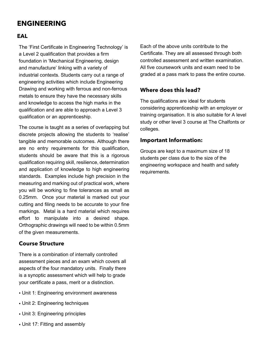### **ENGINEERING**

#### **EAL**

The 'First Certificate in Engineering Technology' is a Level 2 qualification that provides a firm foundation in 'Mechanical Engineering, design and manufacture' linking with a variety of industrial contexts. Students carry out a range of engineering activities which include Engineering Drawing and working with ferrous and non-ferrous metals to ensure they have the necessary skills and knowledge to access the high marks in the qualification and are able to approach a Level 3 qualification or an apprenticeship.

The course is taught as a series of overlapping but discrete projects allowing the students to 'realise' tangible and memorable outcomes. Although there are no entry requirements for this qualification, students should be aware that this is a rigorous qualification requiring skill, resilience, determination and application of knowledge to high engineering standards. Examples include high precision in the measuring and marking out of practical work, where you will be working to fine tolerances as small as 0.25mm. Once your material is marked out your cutting and filing needs to be accurate to your fine markings. Metal is a hard material which requires effort to manipulate into a desired shape. Orthographic drawings will need to be within 0.5mm of the given measurements.

#### **Course Structure**

There is a combination of internally controlled assessment pieces and an exam which covers all aspects of the four mandatory units. Finally there is a synoptic assessment which will help to grade your certificate a pass, merit or a distinction.

- Unit 1: Engineering environment awareness
- Unit 2: Engineering techniques
- Unit 3: Engineering principles
- Unit 17: Fitting and assembly

Each of the above units contribute to the Certificate. They are all assessed through both controlled assessment and written examination. All five coursework units and exam need to be graded at a pass mark to pass the entire course.

#### **Where does this lead?**

The qualifications are ideal for students considering apprenticeship with an employer or training organisation. It is also suitable for A level study or other level 3 course at The Chalfonts or colleges.

#### **Important Information:**

Groups are kept to a maximum size of 18 students per class due to the size of the engineering workspace and health and safety requirements.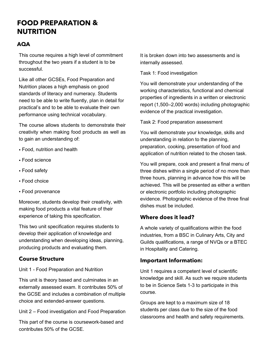### **FOOD PREPARATION & NUTRITION**

#### **AQA**

This course requires a high level of commitment throughout the two years if a student is to be successful.

Like all other GCSEs, Food Preparation and Nutrition places a high emphasis on good standards of literacy and numeracy. Students need to be able to write fluently, plan in detail for practical's and to be able to evaluate their own performance using technical vocabulary.

The course allows students to demonstrate their creativity when making food products as well as to gain an understanding of:

- Food, nutrition and health
- Food science
- Food safety
- Food choice
- Food provenance

Moreover, students develop their creativity, with making food products a vital feature of their experience of taking this specification.

This two unit specification requires students to develop their application of knowledge and understanding when developing ideas, planning, producing products and evaluating them.

#### **Course Structure**

Unit 1 - Food Preparation and Nutrition

This unit is theory based and culminates in an externally assessed exam. It contributes 50% of the GCSE and includes a combination of multiple choice and extended-answer questions.

Unit 2 – Food investigation and Food Preparation

This part of the course is coursework-based and contributes 50% of the GCSE.

It is broken down into two assessments and is internally assessed.

Task 1: Food investigation

You will demonstrate your understanding of the working characteristics, functional and chemical properties of ingredients in a written or electronic report (1,500–2,000 words) including photographic evidence of the practical investigation.

Task 2: Food preparation assessment

You will demonstrate your knowledge, skills and understanding in relation to the planning, preparation, cooking, presentation of food and application of nutrition related to the chosen task.

You will prepare, cook and present a final menu of three dishes within a single period of no more than three hours, planning in advance how this will be achieved. This will be presented as either a written or electronic portfolio including photographic evidence. Photographic evidence of the three final dishes must be included.

#### **Where does it lead?**

A whole variety of qualifications within the food industries, from a BSC in Culinary Arts, City and Guilds qualifications, a range of NVQs or a BTEC in Hospitality and Catering.

#### **Important Information:**

Unit 1 requires a competent level of scientific knowledge and skill. As such we require students to be in Science Sets 1-3 to participate in this course.

Groups are kept to a maximum size of 18 students per class due to the size of the food classrooms and health and safety requirements.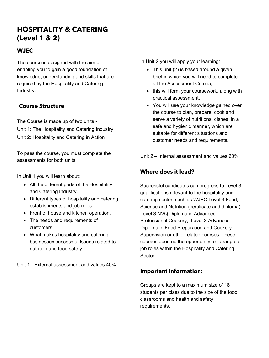### **HOSPITALITY & CATERING (Level 1 & 2)**

#### **WJEC**

The course is designed with the aim of enabling you to gain a good foundation of knowledge, understanding and skills that are required by the Hospitality and Catering Industry.

#### **Course Structure**

The Course is made up of two units:- Unit 1: The Hospitality and Catering Industry Unit 2: Hospitality and Catering in Action

To pass the course, you must complete the assessments for both units.

In Unit 1 you will learn about:

- All the different parts of the Hospitality and Catering Industry.
- Different types of hospitality and catering establishments and job roles.
- Front of house and kitchen operation.
- The needs and requirements of customers.
- What makes hospitality and catering businesses successful Issues related to nutrition and food safety.

Unit 1 - External assessment and values 40%

In Unit 2 you will apply your learning:

- This unit (2) is based around a given brief in which you will need to complete all the Assessment Criteria;
- this will form your coursework, along with practical assessment.
- You will use your knowledge gained over the course to plan, prepare, cook and serve a variety of nutritional dishes, in a safe and hygienic manner, which are suitable for different situations and customer needs and requirements.

Unit 2 – Internal assessment and values 60%

#### **Where does it lead?**

Successful candidates can progress to Level 3 qualifications relevant to the hospitality and catering sector, such as WJEC Level 3 Food, Science and Nutrition (certificate and diploma), Level 3 NVQ Diploma in Advanced Professional Cookery, Level 3 Advanced Diploma in Food Preparation and Cookery Supervision or other related courses. These courses open up the opportunity for a range of job roles within the Hospitality and Catering Sector.

#### **Important Information:**

Groups are kept to a maximum size of 18 students per class due to the size of the food classrooms and health and safety requirements.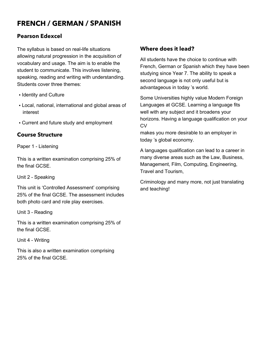### **FRENCH / GERMAN / SPANISH**

#### **Pearson Edexcel**

The syllabus is based on real-life situations allowing natural progression in the acquisition of vocabulary and usage. The aim is to enable the student to communicate. This involves listening, speaking, reading and writing with understanding. Students cover three themes:

- Identity and Culture
- Local, national, international and global areas of interest
- Current and future study and employment

#### **Course Structure**

Paper 1 - Listening

This is a written examination comprising 25% of the final GCSE.

Unit 2 - Speaking

This unit is 'Controlled Assessment' comprising 25% of the final GCSE. The assessment includes both photo card and role play exercises.

Unit 3 - Reading

This is a written examination comprising 25% of the final GCSE.

Unit 4 - Writing

This is also a written examination comprising 25% of the final GCSE.

#### **Where does it lead?**

All students have the choice to continue with French, German or Spanish which they have been studying since Year 7. The ability to speak a second language is not only useful but is advantageous in today 's world.

Some Universities highly value Modern Foreign Languages at GCSE. Learning a language fits well with any subject and it broadens your horizons. Having a language qualification on your CV

makes you more desirable to an employer in today 's global economy.

A languages qualification can lead to a career in many diverse areas such as the Law, Business, Management, Film, Computing, Engineering, Travel and Tourism,

Criminology and many more, not just translating and teaching!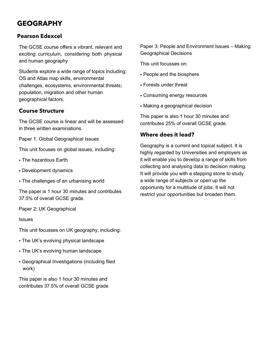### **GEOGRAPHY**

#### **Pearson Edexcel**

The GCSE course offers a vibrant, relevant and exciting curriculum, considering both physical and human geography

Students explore a wide range of topics including: OS and Atlas map skills, environmental challenges, ecosystems, environmental threats; population, migration and other human geographical factors.

#### **Course Structure**

The GCSE course is linear and will be assessed in three written examinations.

Paper 1: Global Geographical Issues

This unit focuses on global issues, including:

- The hazardous Earth
- Development dynamics
- The challenges of an urbanising world

The paper is 1 hour 30 minutes and contributes 37.5% of overall GCSE grade.

Paper 2: UK Geographical

**Issues** 

This unit focusses on UK geography, including:

- The UK's evolving physical landscape
- The UK's evolving human landscape
- Geographical Investigations (including filed work)

This paper is also 1 hour 30 minutes and contributes 37.5% of overall GCSE grade Paper 3: People and Environment Issues – Making Geographical Decisions

This unit focusses on:

- People and the biosphere
- Forests under threat
- Consuming energy resources
- Making a geographical decision

This paper is also 1 hour 30 minutes and contributes 25% of overall GCSE grade.

#### **Where does it lead?**

Geography is a current and topical subject. It is highly regarded by Universities and employers as it will enable you to develop a range of skills from collecting and analysing data to decision making. It will provide you with a stepping stone to study a wide range of subjects or open up the opportunity for a multitude of jobs. It will not restrict your opportunities but broaden them.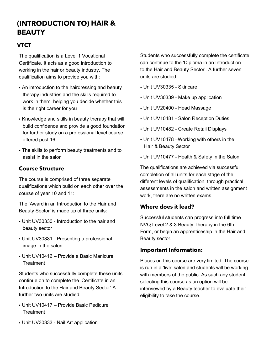### **(INTRODUCTION TO) HAIR & BEAUTY**

#### **VTCT**

The qualification is a Level 1 Vocational Certificate. It acts as a good introduction to working in the hair or beauty industry. The qualification aims to provide you with:

- An introduction to the hairdressing and beauty therapy industries and the skills required to work in them, helping you decide whether this is the right career for you
- Knowledge and skills in beauty therapy that will build confidence and provide a good foundation for further study on a professional level course offered post 16
- The skills to perform beauty treatments and to assist in the salon

#### **Course Structure**

The course is comprised of three separate qualifications which build on each other over the course of year 10 and 11:

The 'Award in an Introduction to the Hair and Beauty Sector' is made up of three units:

- Unit UV30330 Introduction to the hair and beauty sector
- Unit UV30331 Presenting a professional image in the salon
- Unit UV10416 Provide a Basic Manicure **Treatment**

Students who successfully complete these units continue on to complete the 'Certificate in an Introduction to the Hair and Beauty Sector' A further two units are studied:

- Unit UV10417 Provide Basic Pedicure **Treatment**
- Unit UV30333 Nail Art application

Students who successfully complete the certificate can continue to the 'Diploma in an Introduction to the Hair and Beauty Sector'. A further seven units are studied:

- Unit UV30335 Skincare
- Unit UV30339 Make up application
- Unit UV20400 Head Massage
- Unit UV10481 Salon Reception Duties
- Unit UV10482 Create Retail Displays
- Unit UV10478 –Working with others in the Hair & Beauty Sector
- Unit UV10477 Health & Safety in the Salon

The qualifications are achieved via successful completion of all units for each stage of the different levels of qualification, through practical assessments in the salon and written assignment work, there are no written exams.

#### **Where does it lead?**

Successful students can progress into full time NVQ Level 2 & 3 Beauty Therapy in the 6th Form, or begin an apprenticeship in the Hair and Beauty sector.

#### **Important Information:**

Places on this course are very limited. The course is run in a 'live' salon and students will be working with members of the public. As such any student selecting this course as an option will be interviewed by a Beauty teacher to evaluate their eligibility to take the course.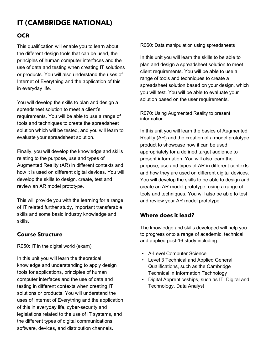### **IT (CAMBRIDGE NATIONAL)**

#### **OCR**

This qualification will enable you to learn about the different design tools that can be used, the principles of human computer interfaces and the use of data and testing when creating IT solutions or products. You will also understand the uses of Internet of Everything and the application of this in everyday life.

You will develop the skills to plan and design a spreadsheet solution to meet a client's requirements. You will be able to use a range of tools and techniques to create the spreadsheet solution which will be tested, and you will learn to evaluate your spreadsheet solution.

Finally, you will develop the knowledge and skills relating to the purpose, use and types of Augmented Reality (AR) in different contexts and how it is used on different digital devices. You will develop the skills to design, create, test and review an AR model prototype.

This will provide you with the learning for a range of IT related further study, important transferable skills and some basic industry knowledge and skills.

#### **Course Structure**

R050: IT in the digital world (exam)

In this unit you will learn the theoretical knowledge and understanding to apply design tools for applications, principles of human computer interfaces and the use of data and testing in different contexts when creating IT solutions or products. You will understand the uses of Internet of Everything and the application of this in everyday life, cyber-security and legislations related to the use of IT systems, and the different types of digital communications software, devices, and distribution channels.

R060: Data manipulation using spreadsheets

In this unit you will learn the skills to be able to plan and design a spreadsheet solution to meet client requirements. You will be able to use a range of tools and techniques to create a spreadsheet solution based on your design, which you will test. You will be able to evaluate your solution based on the user requirements.

#### R070: Using Augmented Reality to present information

In this unit you will learn the basics of Augmented Reality (AR) and the creation of a model prototype product to showcase how it can be used appropriately for a defined target audience to present information. You will also learn the purpose, use and types of AR in different contexts and how they are used on different digital devices. You will develop the skills to be able to design and create an AR model prototype, using a range of tools and techniques. You will also be able to test and review your AR model prototype

#### **Where does it lead?**

The knowledge and skills developed will help you to progress onto a range of academic, technical and applied post-16 study including:

- A-Level Computer Science
- Level 3 Technical and Applied General Qualifications, such as the Cambridge Technical in Information Technology
- Digital Apprenticeships, such as IT, Digital and Technology, Data Analyst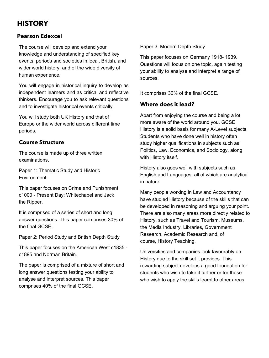### **HISTORY**

#### **Pearson Edexcel**

The course will develop and extend your knowledge and understanding of specified key events, periods and societies in local, British, and wider world history; and of the wide diversity of human experience.

You will engage in historical inquiry to develop as independent learners and as critical and reflective thinkers. Encourage you to ask relevant questions and to investigate historical events critically.

You will study both UK History and that of Europe or the wider world across different time periods.

#### **Course Structure**

The course is made up of three written examinations.

Paper 1: Thematic Study and Historic **Environment** 

This paper focuses on Crime and Punishment c1000 - Present Day; Whitechapel and Jack the Ripper.

It is comprised of a series of short and long answer questions. This paper comprises 30% of the final GCSE.

Paper 2: Period Study and British Depth Study

This paper focuses on the American West c1835 c1895 and Norman Britain.

The paper is comprised of a mixture of short and long answer questions testing your ability to analyse and interpret sources. This paper comprises 40% of the final GCSE.

Paper 3: Modern Depth Study

This paper focuses on Germany 1918- 1939. Questions will focus on one topic, again testing your ability to analyse and interpret a range of sources.

It comprises 30% of the final GCSE.

#### **Where does it lead?**

Apart from enjoying the course and being a lot more aware of the world around you, GCSE History is a solid basis for many A-Level subjects. Students who have done well in history often study higher qualifications in subjects such as Politics, Law, Economics, and Sociology, along with History itself.

History also goes well with subjects such as English and Languages, all of which are analytical in nature.

Many people working in Law and Accountancy have studied History because of the skills that can be developed in reasoning and arguing your point. There are also many areas more directly related to History, such as Travel and Tourism, Museums, the Media Industry, Libraries, Government Research, Academic Research and, of course, History Teaching.

Universities and companies look favourably on History due to the skill set it provides. This rewarding subject develops a good foundation for students who wish to take it further or for those who wish to apply the skills learnt to other areas.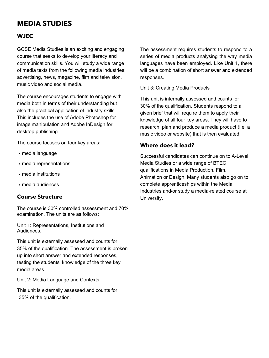### **MEDIA STUDIES**

#### **WJEC**

GCSE Media Studies is an exciting and engaging course that seeks to develop your literacy and communication skills. You will study a wide range of media texts from the following media industries: advertising, news, magazine, film and television, music video and social media.

The course encourages students to engage with media both in terms of their understanding but also the practical application of industry skills. This includes the use of Adobe Photoshop for image manipulation and Adobe InDesign for desktop publishing

The course focuses on four key areas:

- media language
- media representations
- media institutions
- media audiences

#### **Course Structure**

The course is 30% controlled assessment and 70% examination. The units are as follows:

Unit 1: Representations, Institutions and Audiences.

This unit is externally assessed and counts for 35% of the qualification. The assessment is broken up into short answer and extended responses, testing the students' knowledge of the three key media areas.

Unit 2: Media Language and Contexts.

This unit is externally assessed and counts for 35% of the qualification.

The assessment requires students to respond to a series of media products analysing the way media languages have been employed. Like Unit 1, there will be a combination of short answer and extended responses.

Unit 3: Creating Media Products

This unit is internally assessed and counts for 30% of the qualification. Students respond to a given brief that will require them to apply their knowledge of all four key areas. They will have to research, plan and produce a media product (i.e. a music video or website) that is then evaluated.

#### **Where does it lead?**

Successful candidates can continue on to A-Level Media Studies or a wide range of BTEC qualifications in Media Production, Film, Animation or Design. Many students also go on to complete apprenticeships within the Media Industries and/or study a media-related course at University.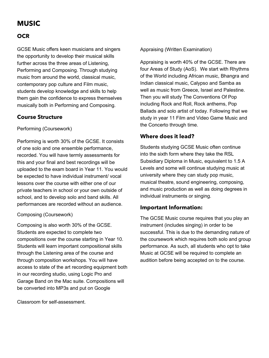### **MUSIC**

#### **OCR**

GCSE Music offers keen musicians and singers the opportunity to develop their musical skills further across the three areas of Listening, Performing and Composing. Through studying music from around the world, classical music, contemporary pop culture and Film music, students develop knowledge and skills to help them gain the confidence to express themselves musically both in Performing and Composing.

#### **Course Structure**

Performing (Coursework)

Performing is worth 30% of the GCSE. It consists of one solo and one ensemble performance, recorded. You will have termly assessments for this and your final and best recordings will be uploaded to the exam board in Year 11. You would be expected to have individual instrument/ vocal lessons over the course with either one of our private teachers in school or your own outside of school, and to develop solo and band skills. All performances are recorded without an audience.

#### Composing (Coursework)

Composing is also worth 30% of the GCSE. Students are expected to complete two compositions over the course starting in Year 10. Students will learn important compositional skills through the Listening area of the course and through composition workshops. You will have access to state of the art recording equipment both in our recording studio, using Logic Pro and Garage Band on the Mac suite. Compositions will be converted into MP3s and put on Google

Classroom for self-assessment.

Appraising (Written Examination)

Appraising is worth 40% of the GCSE. There are four Areas of Study (AoS). We start with Rhythms of the World including African music, Bhangra and Indian classical music, Calypso and Samba as well as music from Greece, Israel and Palestine. Then you will study The Conventions Of Pop including Rock and Roll, Rock anthems, Pop Ballads and solo artist of today. Following that we study in year 11 Film and Video Game Music and the Concerto through time.

#### **Where does it lead?**

Students studying GCSE Music often continue into the sixth form where they take the RSL Subsidiary Diploma in Music, equivalent to 1.5 A Levels and some will continue studying music at university where they can study pop music, musical theatre, sound engineering, composing, and music production as well as doing degrees in individual instruments or singing.

#### **Important Information:**

The GCSE Music course requires that you play an instrument (includes singing) in order to be successful. This is due to the demanding nature of the coursework which requires both solo and group performance. As such, all students who opt to take Music at GCSE will be required to complete an audition before being accepted on to the course.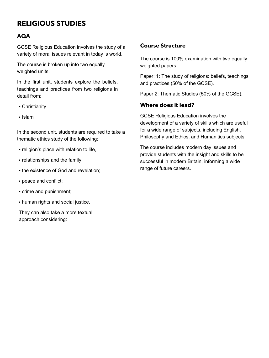### **RELIGIOUS STUDIES**

#### **AQA**

GCSE Religious Education involves the study of a variety of moral issues relevant in today 's world.

The course is broken up into two equally weighted units.

In the first unit, students explore the beliefs, teachings and practices from two religions in detail from:

- Christianity
- Islam

In the second unit, students are required to take a thematic ethics study of the following:

- religion's place with relation to life,
- relationships and the family;
- the existence of God and revelation;
- peace and conflict;
- crime and punishment;
- human rights and social justice.

They can also take a more textual approach considering:

#### **Course Structure**

The course is 100% examination with two equally weighted papers.

Paper: 1: The study of religions: beliefs, teachings and practices (50% of the GCSE).

Paper 2: Thematic Studies (50% of the GCSE).

#### **Where does it lead?**

GCSE Religious Education involves the development of a variety of skills which are useful for a wide range of subjects, including English, Philosophy and Ethics, and Humanities subjects.

The course includes modern day issues and provide students with the insight and skills to be successful in modern Britain, informing a wide range of future careers.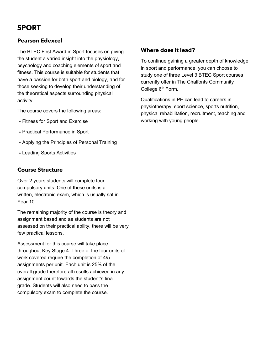### **SPORT**

#### **Pearson Edexcel**

The BTEC First Award in Sport focuses on giving the student a varied insight into the physiology, psychology and coaching elements of sport and fitness. This course is suitable for students that have a passion for both sport and biology, and for those seeking to develop their understanding of the theoretical aspects surrounding physical activity.

The course covers the following areas:

- Fitness for Sport and Exercise
- Practical Performance in Sport
- Applying the Principles of Personal Training
- Leading Sports Activities

#### **Course Structure**

Over 2 years students will complete four compulsory units. One of these units is a written, electronic exam, which is usually sat in Year 10.

The remaining majority of the course is theory and assignment based and as students are not assessed on their practical ability, there will be very few practical lessons.

Assessment for this course will take place throughout Key Stage 4. Three of the four units of work covered require the completion of 4/5 assignments per unit. Each unit is 25% of the overall grade therefore all results achieved in any assignment count towards the student's final grade. Students will also need to pass the compulsory exam to complete the course.

#### **Where does it lead?**

To continue gaining a greater depth of knowledge in sport and performance, you can choose to study one of three Level 3 BTEC Sport courses currently offer in The Chalfonts Community College 6<sup>th</sup> Form.

Qualifications in PE can lead to careers in physiotherapy, sport science, sports nutrition, physical rehabilitation, recruitment, teaching and working with young people.